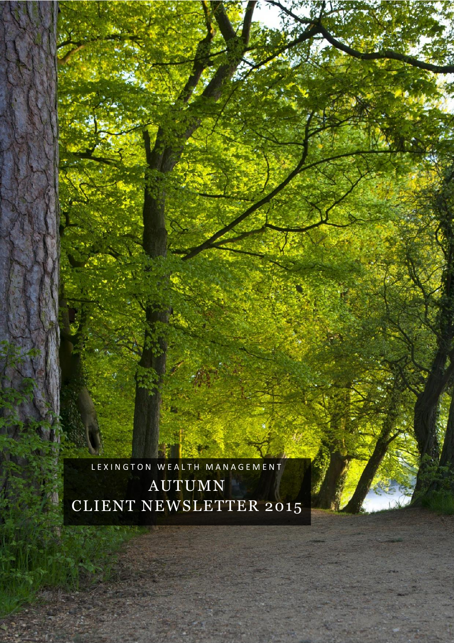# AUTUMN CLIENT NEWSLETTER 2015

LEXINGTON WEALTH MANAGEMENT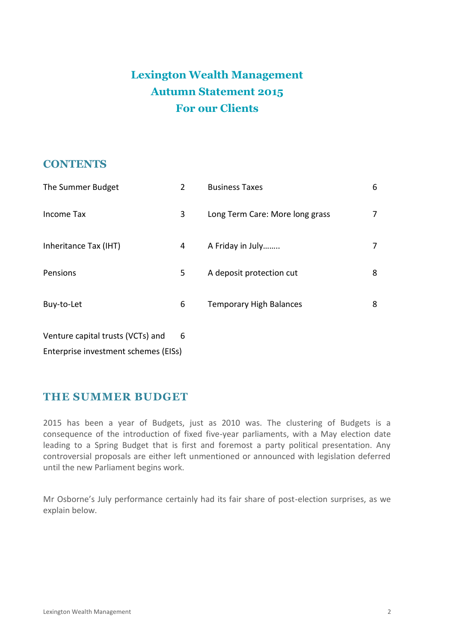# **Lexington Wealth Management Autumn Statement 2015 For our Clients**

### **CONTENTS**

| The Summer Budget                 | $\overline{2}$ | <b>Business Taxes</b>           | 6 |
|-----------------------------------|----------------|---------------------------------|---|
| Income Tax                        | 3              | Long Term Care: More long grass | 7 |
| Inheritance Tax (IHT)             | 4              | A Friday in July                | 7 |
| Pensions                          | 5              | A deposit protection cut        | 8 |
| Buy-to-Let                        | 6              | <b>Temporary High Balances</b>  | 8 |
| Venture capital trusts (VCTs) and | 6              |                                 |   |

Enterprise investment schemes (EISs)

# **THE SUMMER BUDGET**

2015 has been a year of Budgets, just as 2010 was. The clustering of Budgets is a consequence of the introduction of fixed five-year parliaments, with a May election date leading to a Spring Budget that is first and foremost a party political presentation. Any controversial proposals are either left unmentioned or announced with legislation deferred until the new Parliament begins work.

Mr Osborne's July performance certainly had its fair share of post-election surprises, as we explain below.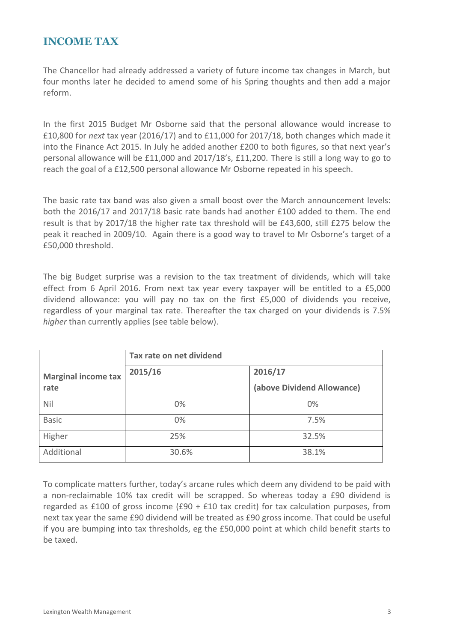#### **INCOME TAX**

The Chancellor had already addressed a variety of future income tax changes in March, but four months later he decided to amend some of his Spring thoughts and then add a major reform.

In the first 2015 Budget Mr Osborne said that the personal allowance would increase to £10,800 for *next* tax year (2016/17) and to £11,000 for 2017/18, both changes which made it into the Finance Act 2015. In July he added another £200 to both figures, so that next year's personal allowance will be £11,000 and 2017/18's, £11,200. There is still a long way to go to reach the goal of a £12,500 personal allowance Mr Osborne repeated in his speech.

The basic rate tax band was also given a small boost over the March announcement levels: both the 2016/17 and 2017/18 basic rate bands had another £100 added to them. The end result is that by 2017/18 the higher rate tax threshold will be £43,600, still £275 below the peak it reached in 2009/10. Again there is a good way to travel to Mr Osborne's target of a £50,000 threshold.

The big Budget surprise was a revision to the tax treatment of dividends, which will take effect from 6 April 2016. From next tax year every taxpayer will be entitled to a £5,000 dividend allowance: you will pay no tax on the first £5,000 of dividends you receive, regardless of your marginal tax rate. Thereafter the tax charged on your dividends is 7.5% *higher* than currently applies (see table below).

|                                    | Tax rate on net dividend |                            |  |  |
|------------------------------------|--------------------------|----------------------------|--|--|
| <b>Marginal income tax</b><br>rate | 2015/16                  | 2016/17                    |  |  |
|                                    |                          | (above Dividend Allowance) |  |  |
| Nil                                | 0%                       | $0\%$                      |  |  |
| <b>Basic</b>                       | $0\%$                    | 7.5%                       |  |  |
| Higher                             | 25%                      | 32.5%                      |  |  |
| Additional                         | 30.6%                    | 38.1%                      |  |  |

To complicate matters further, today's arcane rules which deem any dividend to be paid with a non-reclaimable 10% tax credit will be scrapped. So whereas today a £90 dividend is regarded as £100 of gross income (£90 + £10 tax credit) for tax calculation purposes, from next tax year the same £90 dividend will be treated as £90 gross income. That could be useful if you are bumping into tax thresholds, eg the £50,000 point at which child benefit starts to be taxed.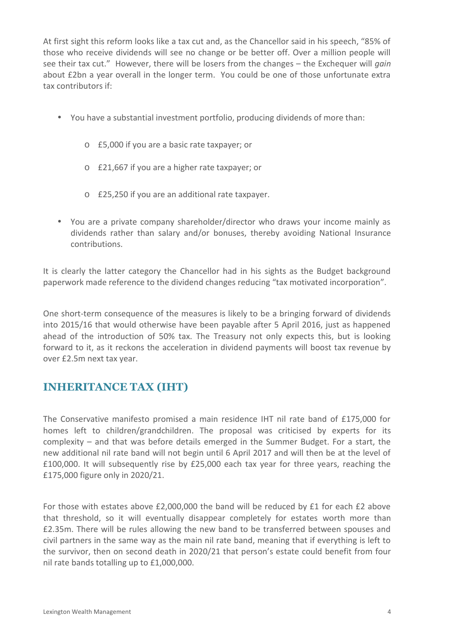At first sight this reform looks like a tax cut and, as the Chancellor said in his speech, "85% of those who receive dividends will see no change or be better off. Over a million people will see their tax cut." However, there will be losers from the changes – the Exchequer will *gain* about £2bn a year overall in the longer term. You could be one of those unfortunate extra tax contributors if:

- You have a substantial investment portfolio, producing dividends of more than:
	- o £5,000 if you are a basic rate taxpayer; or
	- o £21,667 if you are a higher rate taxpayer; or
	- o £25,250 if you are an additional rate taxpayer.
- You are a private company shareholder/director who draws your income mainly as dividends rather than salary and/or bonuses, thereby avoiding National Insurance contributions.

It is clearly the latter category the Chancellor had in his sights as the Budget background paperwork made reference to the dividend changes reducing "tax motivated incorporation".

One short-term consequence of the measures is likely to be a bringing forward of dividends into 2015/16 that would otherwise have been payable after 5 April 2016, just as happened ahead of the introduction of 50% tax. The Treasury not only expects this, but is looking forward to it, as it reckons the acceleration in dividend payments will boost tax revenue by over £2.5m next tax year.

# **INHERITANCE TAX (IHT)**

The Conservative manifesto promised a main residence IHT nil rate band of £175,000 for homes left to children/grandchildren. The proposal was criticised by experts for its complexity – and that was before details emerged in the Summer Budget. For a start, the new additional nil rate band will not begin until 6 April 2017 and will then be at the level of £100,000. It will subsequently rise by £25,000 each tax year for three years, reaching the £175,000 figure only in 2020/21.

For those with estates above £2,000,000 the band will be reduced by £1 for each £2 above that threshold, so it will eventually disappear completely for estates worth more than £2.35m. There will be rules allowing the new band to be transferred between spouses and civil partners in the same way as the main nil rate band, meaning that if everything is left to the survivor, then on second death in 2020/21 that person's estate could benefit from four nil rate bands totalling up to £1,000,000.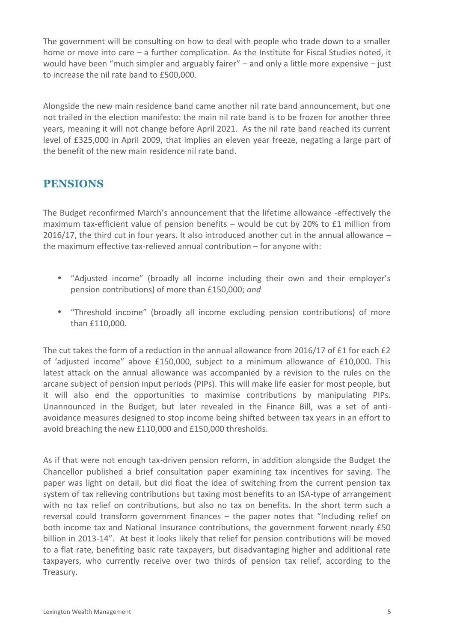The government will be consulting on how to deal with people who trade down to a smaller home or move into care – a further complication. As the Institute for Fiscal Studies noted, it would have been "much simpler and arguably fairer" – and only a little more expensive – just to increase the nil rate band to £500,000.

Alongside the new main residence band came another nil rate band announcement, but one not trailed in the election manifesto: the main nil rate band is to be frozen for another three years, meaning it will not change before April 2021. As the nil rate band reached its current level of £325,000 in April 2009, that implies an eleven year freeze, negating a large part of the benefit of the new main residence nil rate band.

## **PENSIONS**

The Budget reconfirmed March's announcement that the lifetime allowance -effectively the maximum tax-efficient value of pension benefits – would be cut by 20% to £1 million from 2016/17, the third cut in four years. It also introduced another cut in the annual allowance – the maximum effective tax-relieved annual contribution – for anyone with:

- "Adjusted income" (broadly all income including their own and their employer's pension contributions) of more than £150,000; *and*
- "Threshold income" (broadly all income excluding pension contributions) of more than £110,000.

The cut takes the form of a reduction in the annual allowance from 2016/17 of £1 for each £2 of 'adjusted income" above £150,000, subject to a minimum allowance of £10,000. This latest attack on the annual allowance was accompanied by a revision to the rules on the arcane subject of pension input periods (PIPs). This will make life easier for most people, but it will also end the opportunities to maximise contributions by manipulating PIPs. Unannounced in the Budget, but later revealed in the Finance Bill, was a set of anti avoidance measures designed to stop income being shifted between tax years in an effort to avoid breaching the new £110,000 and £150,000 thresholds.

As if that were not enough tax-driven pension reform, in addition alongside the Budget the Chancellor published a brief consultation paper examining tax incentives for saving. The paper was light on detail, but did float the idea of switching from the current pension tax system of tax relieving contributions but taxing most benefits to an ISA-type of arrangement with no tax relief on contributions, but also no tax on benefits. In the short term such a reversal could transform government finances – the paper notes that "Including relief on both income tax and National Insurance contributions, the government forwent nearly £50 billion in 2013-14". At best it looks likely that relief for pension contributions will be moved to a flat rate, benefiting basic rate taxpayers, but disadvantaging higher and additional rate taxpayers, who currently receive over two thirds of pension tax relief, according to the Treasury.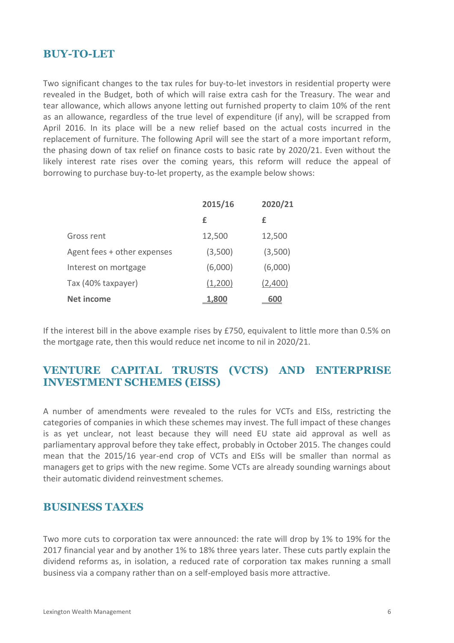#### **BUY-TO-LET**

Two significant changes to the tax rules for buy-to-let investors in residential property were revealed in the Budget, both of which will raise extra cash for the Treasury. The wear and tear allowance, which allows anyone letting out furnished property to claim 10% of the rent as an allowance, regardless of the true level of expenditure (if any), will be scrapped from April 2016. In its place will be a new relief based on the actual costs incurred in the replacement of furniture. The following April will see the start of a more important reform, the phasing down of tax relief on finance costs to basic rate by 2020/21. Even without the likely interest rate rises over the coming years, this reform will reduce the appeal of borrowing to purchase buy-to-let property, as the example below shows:

|                             | 2015/16      | 2020/21 |
|-----------------------------|--------------|---------|
|                             | £            | £       |
| Gross rent                  | 12,500       | 12,500  |
| Agent fees + other expenses | (3,500)      | (3,500) |
| Interest on mortgage        | (6,000)      | (6,000) |
| Tax (40% taxpayer)          | (1,200)      | (2,400) |
| Net income                  | <u>1,800</u> | 600     |

If the interest bill in the above example rises by £750, equivalent to little more than 0.5% on the mortgage rate, then this would reduce net income to nil in 2020/21.

#### **VENTURE CAPITAL TRUSTS (VCTS) AND ENTERPRISE INVESTMENT SCHEMES (EISS)**

A number of amendments were revealed to the rules for VCTs and EISs, restricting the categories of companies in which these schemes may invest. The full impact of these changes is as yet unclear, not least because they will need EU state aid approval as well as parliamentary approval before they take effect, probably in October 2015. The changes could mean that the 2015/16 year-end crop of VCTs and EISs will be smaller than normal as managers get to grips with the new regime. Some VCTs are already sounding warnings about their automatic dividend reinvestment schemes.

#### **BUSINESS TAXES**

Two more cuts to corporation tax were announced: the rate will drop by 1% to 19% for the 2017 financial year and by another 1% to 18% three years later. These cuts partly explain the dividend reforms as, in isolation, a reduced rate of corporation tax makes running a small business via a company rather than on a self-employed basis more attractive.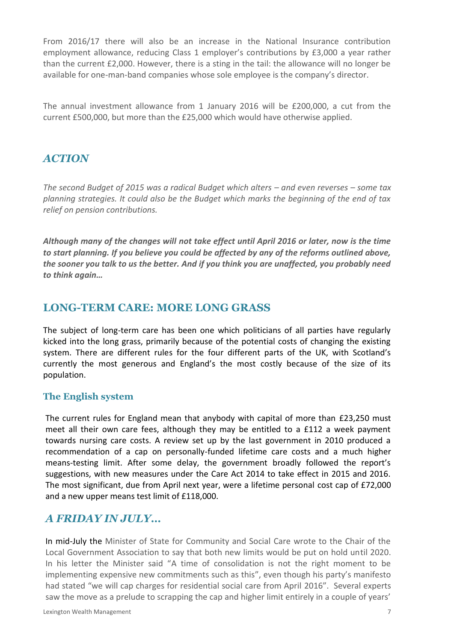From 2016/17 there will also be an increase in the National Insurance contribution employment allowance, reducing Class 1 employer's contributions by £3,000 a year rather than the current £2,000. However, there is a sting in the tail: the allowance will no longer be available for one-man-band companies whose sole employee is the company's director.

The annual investment allowance from 1 January 2016 will be £200,000, a cut from the current £500,000, but more than the £25,000 which would have otherwise applied.

### *ACTION*

*The second Budget of 2015 was a radical Budget which alters – and even reverses – some tax planning strategies. It could also be the Budget which marks the beginning of the end of tax relief on pension contributions.*

*Although many of the changes will not take effect until April 2016 or later, now is the time to start planning. If you believe you could be affected by any of the reforms outlined above, the sooner you talk to us the better. And if you think you are unaffected, you probably need to think again…*

#### **LONG-TERM CARE: MORE LONG GRASS**

The subject of long-term care has been one which politicians of all parties have regularly kicked into the long grass, primarily because of the potential costs of changing the existing system. There are different rules for the four different parts of the UK, with Scotland's currently the most generous and England's the most costly because of the size of its population.

#### **The English system**

The current rules for England mean that anybody with capital of more than £23,250 must meet all their own care fees, although they may be entitled to a £112 a week payment towards nursing care costs. A review set up by the last government in 2010 produced a recommendation of a cap on personally-funded lifetime care costs and a much higher means-testing limit. After some delay, the government broadly followed the report's suggestions, with new measures under the Care Act 2014 to take effect in 2015 and 2016. The most significant, due from April next year, were a lifetime personal cost cap of £72,000 and a new upper means test limit of £118,000.

#### *A FRIDAY IN JULY…*

In mid-July the Minister of State for Community and Social Care wrote to the Chair of the Local Government Association to say that both new limits would be put on hold until 2020. In his letter the Minister said "A time of consolidation is not the right moment to be implementing expensive new commitments such as this", even though his party's manifesto had stated "we will cap charges for residential social care from April 2016". Several experts saw the move as a prelude to scrapping the cap and higher limit entirely in a couple of years'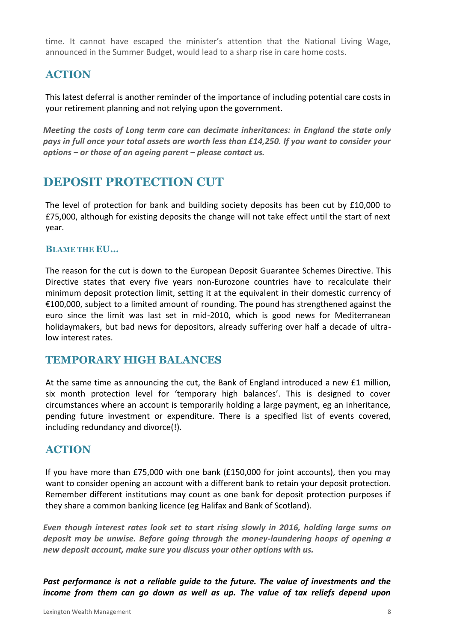time. It cannot have escaped the minister's attention that the National Living Wage, announced in the Summer Budget, would lead to a sharp rise in care home costs.

### **ACTION**

This latest deferral is another reminder of the importance of including potential care costs in your retirement planning and not relying upon the government.

*Meeting the costs of Long term care can decimate inheritances: in England the state only pays in full once your total assets are worth less than £14,250. If you want to consider your options – or those of an ageing parent – please contact us.*

# **DEPOSIT PROTECTION CUT**

The level of protection for bank and building society deposits has been cut by £10,000 to £75,000, although for existing deposits the change will not take effect until the start of next year.

#### **BLAME THE EU…**

The reason for the cut is down to the European Deposit Guarantee Schemes Directive. This Directive states that every five years non-Eurozone countries have to recalculate their minimum deposit protection limit, setting it at the equivalent in their domestic currency of €100,000, subject to a limited amount of rounding. The pound has strengthened against the euro since the limit was last set in mid-2010, which is good news for Mediterranean holidaymakers, but bad news for depositors, already suffering over half a decade of ultralow interest rates.

#### **TEMPORARY HIGH BALANCES**

At the same time as announcing the cut, the Bank of England introduced a new £1 million, six month protection level for 'temporary high balances'. This is designed to cover circumstances where an account is temporarily holding a large payment, eg an inheritance, pending future investment or expenditure. There is a specified list of events covered, including redundancy and divorce(!).

#### **ACTION**

If you have more than £75,000 with one bank (£150,000 for joint accounts), then you may want to consider opening an account with a different bank to retain your deposit protection. Remember different institutions may count as one bank for deposit protection purposes if they share a common banking licence (eg Halifax and Bank of Scotland).

*Even though interest rates look set to start rising slowly in 2016, holding large sums on deposit may be unwise. Before going through the money-laundering hoops of opening a new deposit account, make sure you discuss your other options with us.*

*Past performance is not a reliable guide to the future. The value of investments and the income from them can go down as well as up. The value of tax reliefs depend upon*